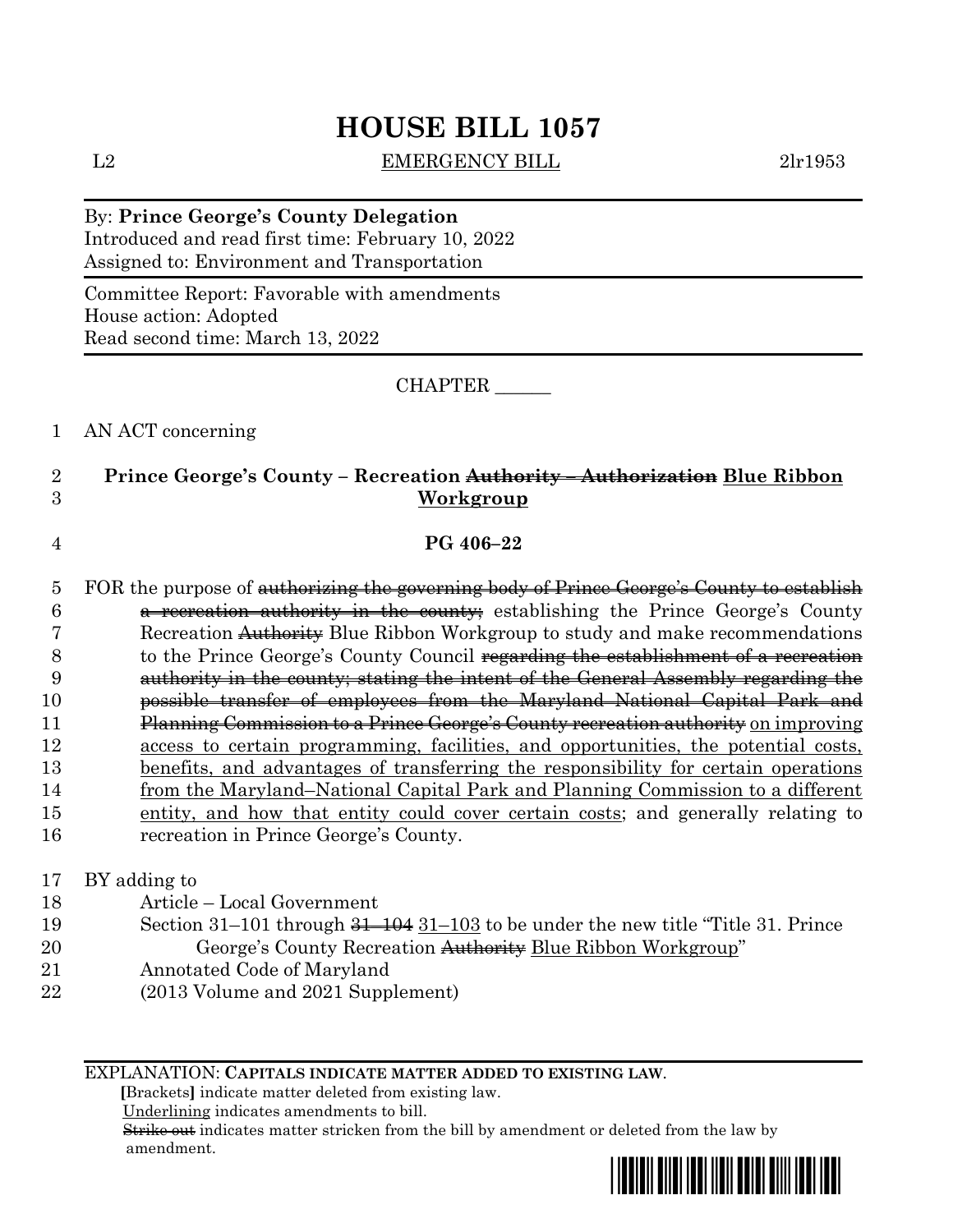## **HOUSE BILL 1057**

L2 EMERGENCY BILL 2lr1953

By: **Prince George's County Delegation** Introduced and read first time: February 10, 2022 Assigned to: Environment and Transportation

Committee Report: Favorable with amendments House action: Adopted Read second time: March 13, 2022

CHAPTER \_\_\_\_\_\_

1 AN ACT concerning

## 2 **Prince George's County – Recreation Authority – Authorization Blue Ribbon**  3 **Workgroup**

4 **PG 406–22**

- 5 FOR the purpose of <del>authorizing the governing body of Prince George's County to establish</del> 6 a recreation authority in the county; establishing the Prince George's County 7 Recreation Authority Blue Ribbon Workgroup to study and make recommendations 8 to the Prince George's County Council regarding the establishment of a recreation 9 authority in the county; stating the intent of the General Assembly regarding the 10 possible transfer of employees from the Maryland–National Capital Park and 11 Planning Commission to a Prince George's County recreation authority on improving 12 access to certain programming, facilities, and opportunities, the potential costs, 13 benefits, and advantages of transferring the responsibility for certain operations 14 from the Maryland–National Capital Park and Planning Commission to a different 15 entity, and how that entity could cover certain costs; and generally relating to 16 recreation in Prince George's County.
- 17 BY adding to
- 18 Article Local Government
- 19 Section 31–101 through 31–104 31–103 to be under the new title "Title 31. Prince 20 **Example 3 George's County Recreation <del>Authority</del> Blue Ribbon Workgroup**"
- 21 Annotated Code of Maryland
- 22 (2013 Volume and 2021 Supplement)

EXPLANATION: **CAPITALS INDICATE MATTER ADDED TO EXISTING LAW**.

 **[**Brackets**]** indicate matter deleted from existing law.

Underlining indicates amendments to bill.

 Strike out indicates matter stricken from the bill by amendment or deleted from the law by amendment.

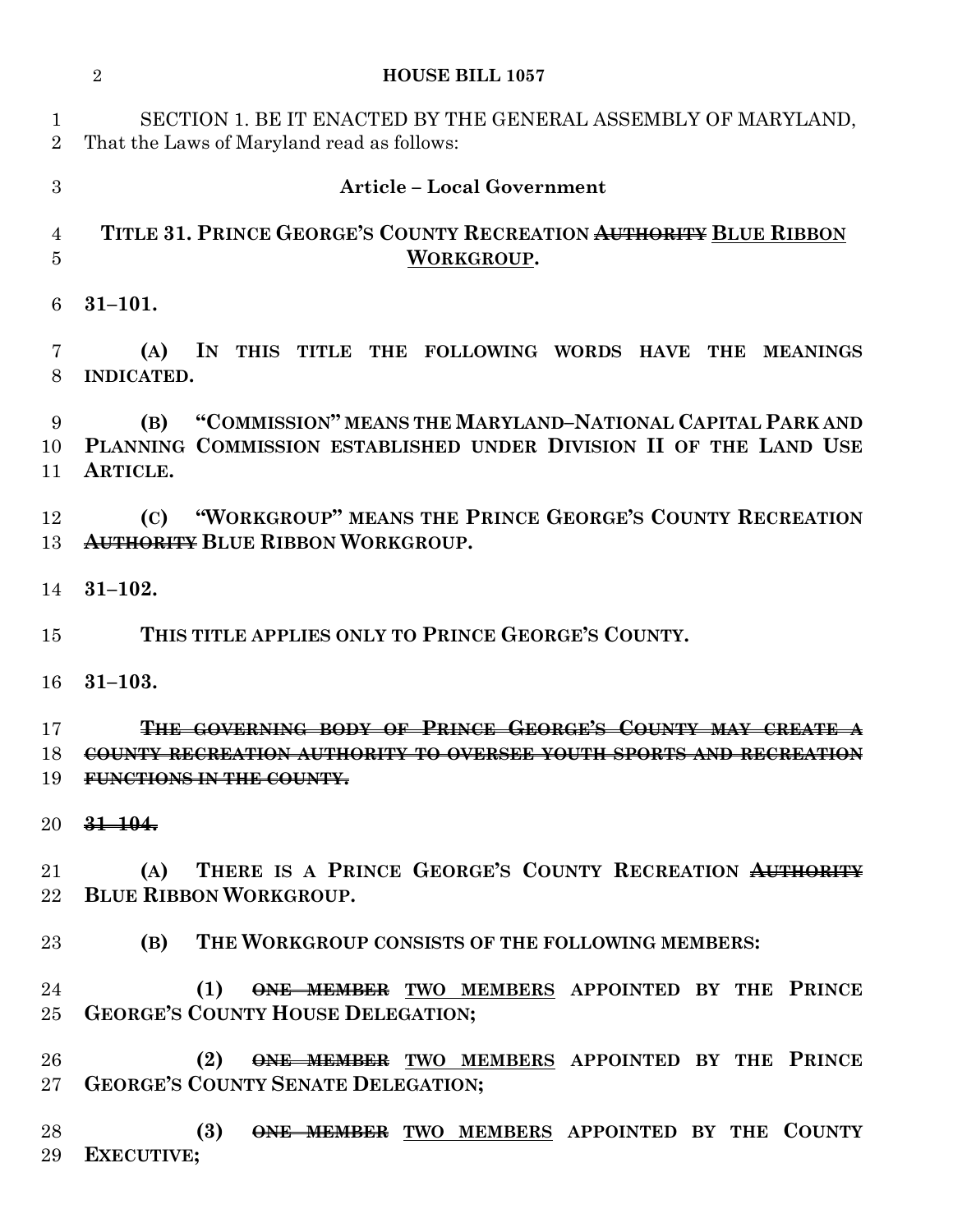|                     | $\overline{2}$<br><b>HOUSE BILL 1057</b>                                                                                                                  |
|---------------------|-----------------------------------------------------------------------------------------------------------------------------------------------------------|
| 1<br>$\overline{2}$ | SECTION 1. BE IT ENACTED BY THE GENERAL ASSEMBLY OF MARYLAND,<br>That the Laws of Maryland read as follows:                                               |
| 3                   | <b>Article - Local Government</b>                                                                                                                         |
| 4<br>5              | TITLE 31. PRINCE GEORGE'S COUNTY RECREATION AUTHORITY BLUE RIBBON<br>WORKGROUP.                                                                           |
| 6                   | $31 - 101.$                                                                                                                                               |
| 7<br>8              | (A)<br>IN THIS TITLE THE FOLLOWING WORDS HAVE THE MEANINGS<br><b>INDICATED.</b>                                                                           |
| 9<br>10<br>11       | "COMMISSION" MEANS THE MARYLAND-NATIONAL CAPITAL PARK AND<br>(B)<br>PLANNING COMMISSION ESTABLISHED UNDER DIVISION II OF THE LAND USE<br>ARTICLE.         |
| 12<br>13            | "WORKGROUP" MEANS THE PRINCE GEORGE'S COUNTY RECREATION<br>(C)<br><b>AUTHORITY BLUE RIBBON WORKGROUP.</b>                                                 |
| 14                  | $31 - 102.$                                                                                                                                               |
| 15                  | THIS TITLE APPLIES ONLY TO PRINCE GEORGE'S COUNTY.                                                                                                        |
| 16                  | $31 - 103.$                                                                                                                                               |
| 17<br>18<br>19      | THE GOVERNING BODY OF PRINCE GEORGE'S COUNTY MAY CREATE<br>COUNTY RECREATION AUTHORITY TO OVERSEE YOUTH SPORTS AND RECREATION<br>FUNCTIONS IN THE COUNTY. |
| $20\,$              | $31 - 104.$                                                                                                                                               |
| 21<br>$22\,$        | THERE IS A PRINCE GEORGE'S COUNTY RECREATION AUTHORITY<br>(A)<br><b>BLUE RIBBON WORKGROUP.</b>                                                            |
| $23\,$              | (B) THE WORKGROUP CONSISTS OF THE FOLLOWING MEMBERS:                                                                                                      |
| 24<br>$25\,$        | ONE MEMBER TWO MEMBERS APPOINTED BY THE PRINCE<br>(1)<br><b>GEORGE'S COUNTY HOUSE DELEGATION;</b>                                                         |
| 26<br>$27\,$        | ONE MEMBER TWO MEMBERS APPOINTED BY THE PRINCE<br>(2)<br><b>GEORGE'S COUNTY SENATE DELEGATION;</b>                                                        |
| 28<br>29            | (3)<br><b>ONE MEMBER</b> TWO MEMBERS APPOINTED BY THE COUNTY<br><b>EXECUTIVE;</b>                                                                         |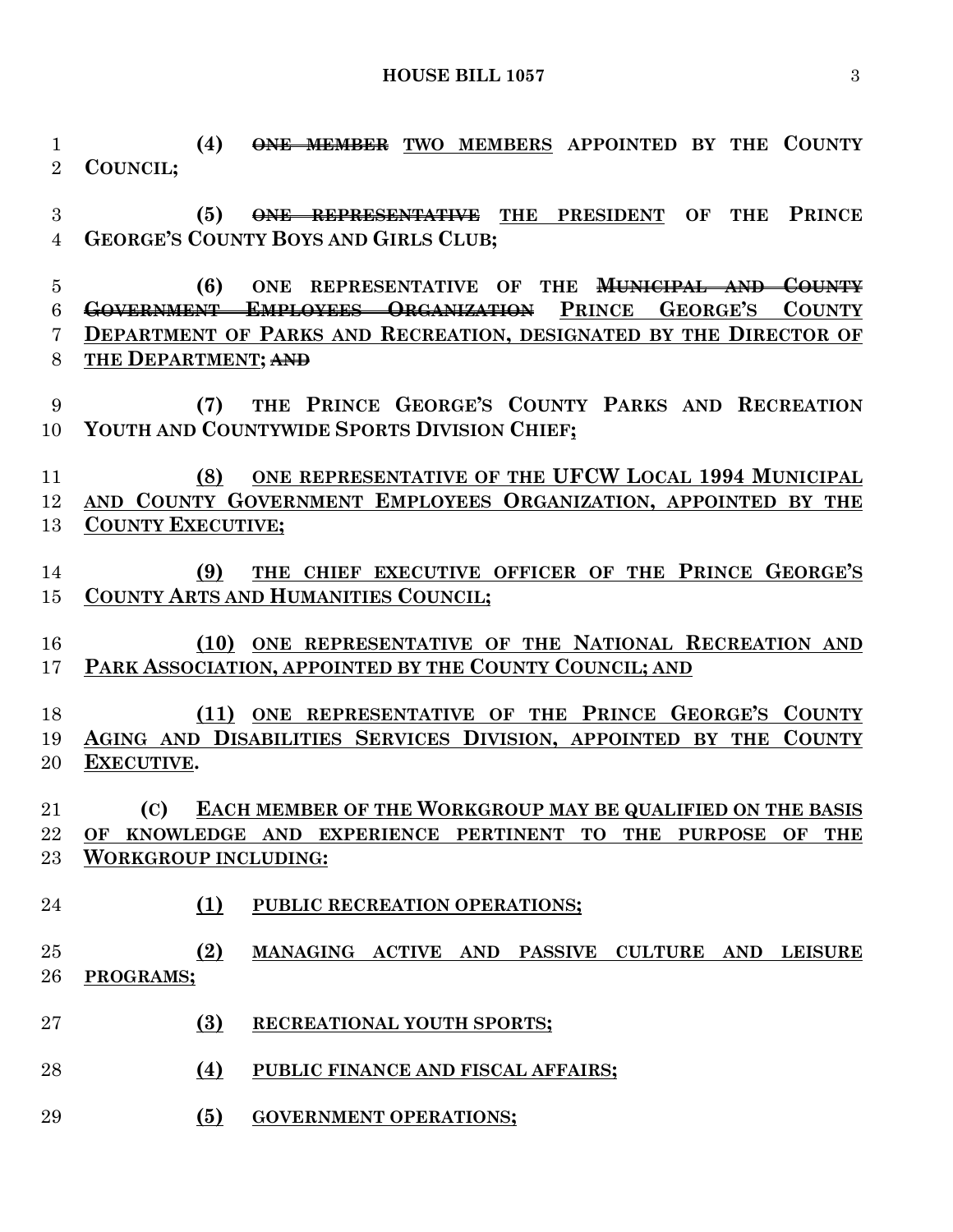**HOUSE BILL 1057** 3

 **(4) ONE MEMBER TWO MEMBERS APPOINTED BY THE COUNTY COUNCIL;**

 **(5) ONE REPRESENTATIVE THE PRESIDENT OF THE PRINCE GEORGE'S COUNTY BOYS AND GIRLS CLUB;**

 **(6) ONE REPRESENTATIVE OF THE MUNICIPAL AND COUNTY GOVERNMENT EMPLOYEES ORGANIZATION PRINCE GEORGE'S COUNTY DEPARTMENT OF PARKS AND RECREATION, DESIGNATED BY THE DIRECTOR OF THE DEPARTMENT; AND**

 **(7) THE PRINCE GEORGE'S COUNTY PARKS AND RECREATION YOUTH AND COUNTYWIDE SPORTS DIVISION CHIEF;**

**(8) ONE REPRESENTATIVE OF THE UFCW LOCAL 1994 MUNICIPAL AND COUNTY GOVERNMENT EMPLOYEES ORGANIZATION, APPOINTED BY THE COUNTY EXECUTIVE;**

- **(9) THE CHIEF EXECUTIVE OFFICER OF THE PRINCE GEORGE'S COUNTY ARTS AND HUMANITIES COUNCIL;**
- **(10) ONE REPRESENTATIVE OF THE NATIONAL RECREATION AND PARK ASSOCIATION, APPOINTED BY THE COUNTY COUNCIL; AND**

**(11) ONE REPRESENTATIVE OF THE PRINCE GEORGE'S COUNTY AGING AND DISABILITIES SERVICES DIVISION, APPOINTED BY THE COUNTY EXECUTIVE.**

 **(C) EACH MEMBER OF THE WORKGROUP MAY BE QUALIFIED ON THE BASIS OF KNOWLEDGE AND EXPERIENCE PERTINENT TO THE PURPOSE OF THE WORKGROUP INCLUDING:**

- **(1) PUBLIC RECREATION OPERATIONS;**
- **(2) MANAGING ACTIVE AND PASSIVE CULTURE AND LEISURE PROGRAMS;**
- **(3) RECREATIONAL YOUTH SPORTS;**
- **(4) PUBLIC FINANCE AND FISCAL AFFAIRS;**
- **(5) GOVERNMENT OPERATIONS;**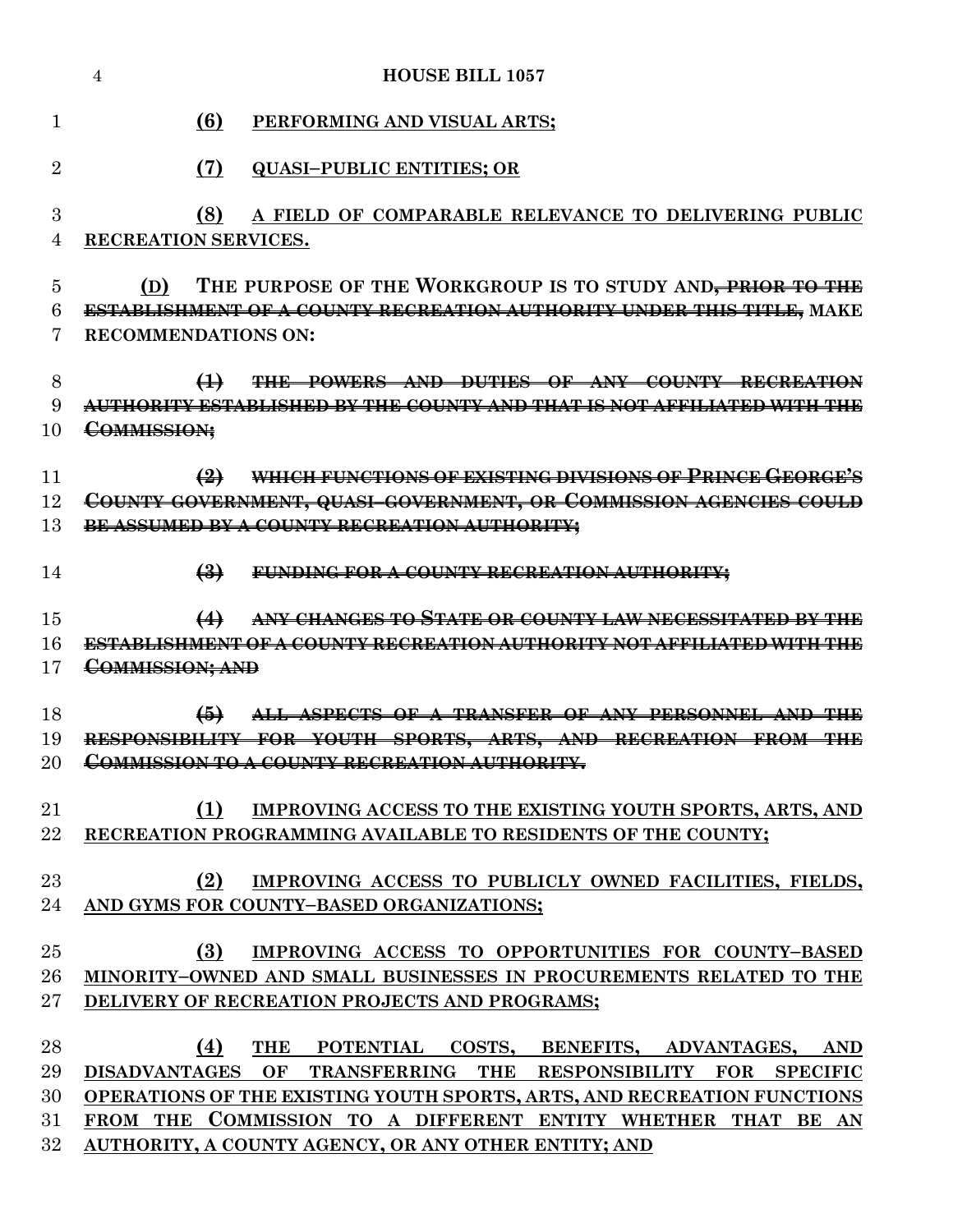|                            | <b>HOUSE BILL 1057</b><br>$\overline{4}$                                                                                                                                                                                                                                                                                  |
|----------------------------|---------------------------------------------------------------------------------------------------------------------------------------------------------------------------------------------------------------------------------------------------------------------------------------------------------------------------|
| 1                          | (6)<br>PERFORMING AND VISUAL ARTS;                                                                                                                                                                                                                                                                                        |
| $\overline{2}$             | (7)<br><b>QUASI-PUBLIC ENTITIES; OR</b>                                                                                                                                                                                                                                                                                   |
| 3<br>4                     | (8)<br>A FIELD OF COMPARABLE RELEVANCE TO DELIVERING PUBLIC<br>RECREATION SERVICES.                                                                                                                                                                                                                                       |
| 5<br>6<br>7                | THE PURPOSE OF THE WORKGROUP IS TO STUDY AND, PRIOR TO THE<br>(D)<br>ESTABLISHMENT OF A COUNTY RECREATION AUTHORITY UNDER THIS TITLE, MAKE<br><b>RECOMMENDATIONS ON:</b>                                                                                                                                                  |
| 8<br>9<br>10               | THE POWERS AND DUTIES OF ANY COUNTY RECREATION<br>$\leftrightarrow$<br>AUTHORITY ESTABLISHED BY THE COUNTY AND THAT IS NOT AFFILIATED WITH THE<br>COMMISSION:                                                                                                                                                             |
| 11<br>12<br>13             | WHICH FUNCTIONS OF EXISTING DIVISIONS OF PRINCE GEORGE'S<br>$\bigoplus$<br>COUNTY GOVERNMENT, QUASI-GOVERNMENT, OR COMMISSION AGENCIES COULD<br>BE ASSUMED BY A COUNTY RECREATION AUTHORITY;                                                                                                                              |
| 14                         | $\left(4\right)$<br>FUNDING FOR A COUNTY RECREATION AUTHORITY;                                                                                                                                                                                                                                                            |
| 15<br>16<br>17             | ANY CHANGES TO STATE OR COUNTY LAW NECESSITATED BY THE<br>$\leftrightarrow$<br><u>ESTABLISHMENT OF A COUNTY RECREATION AUTHORITY NOT AFFILIATED WITH THE</u><br>COMMISSION; AND                                                                                                                                           |
| 18<br>19<br>20             | $\bigoplus$<br>ALL ASPECTS OF A TRANSFER OF ANY PERSONNEL AND THE<br>RESPONSIBILITY FOR YOUTH SPORTS, ARTS, AND RECREATION FROM THE<br>COMMISSION TO A COUNTY DECDEATION AITPUODITY<br><del>commission fo a counti</del><br><del>ilboilenti ion</del><br><del>nomomn,</del>                                               |
| 21<br>22                   | (1)<br>IMPROVING ACCESS TO THE EXISTING YOUTH SPORTS, ARTS, AND<br>RECREATION PROGRAMMING AVAILABLE TO RESIDENTS OF THE COUNTY;                                                                                                                                                                                           |
| 23<br>24                   | (2)<br>IMPROVING ACCESS TO PUBLICLY OWNED FACILITIES, FIELDS,<br>AND GYMS FOR COUNTY-BASED ORGANIZATIONS;                                                                                                                                                                                                                 |
| 25<br>26<br>27             | (3)<br>IMPROVING ACCESS TO OPPORTUNITIES FOR COUNTY-BASED<br>MINORITY-OWNED AND SMALL BUSINESSES IN PROCUREMENTS RELATED TO THE<br>DELIVERY OF RECREATION PROJECTS AND PROGRAMS;                                                                                                                                          |
| 28<br>29<br>30<br>31<br>32 | (4)<br>THE POTENTIAL COSTS, BENEFITS, ADVANTAGES, AND<br>DISADVANTAGES OF TRANSFERRING THE RESPONSIBILITY FOR SPECIFIC<br>OPERATIONS OF THE EXISTING YOUTH SPORTS, ARTS, AND RECREATION FUNCTIONS<br>FROM THE COMMISSION TO A DIFFERENT ENTITY WHETHER THAT BE AN<br>AUTHORITY, A COUNTY AGENCY, OR ANY OTHER ENTITY; AND |